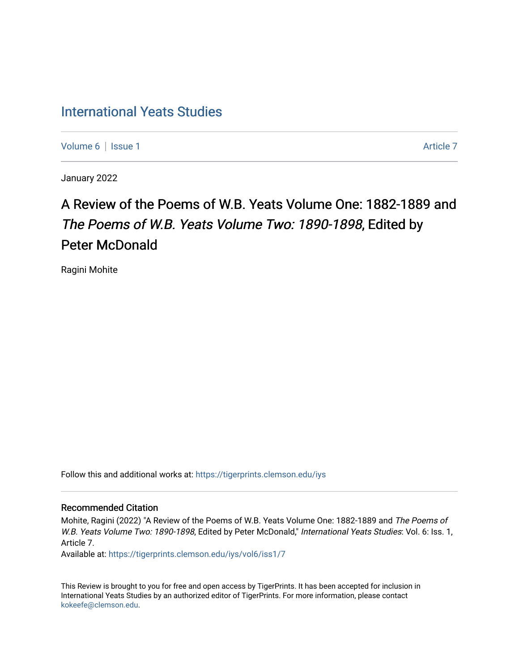## [International Yeats Studies](https://tigerprints.clemson.edu/iys)

[Volume 6](https://tigerprints.clemson.edu/iys/vol6) | [Issue 1](https://tigerprints.clemson.edu/iys/vol6/iss1) Article 7

January 2022

# A Review of the Poems of W.B. Yeats Volume One: 1882-1889 and The Poems of W.B. Yeats Volume Two: 1890-1898, Edited by Peter McDonald

Ragini Mohite

Follow this and additional works at: [https://tigerprints.clemson.edu/iys](https://tigerprints.clemson.edu/iys?utm_source=tigerprints.clemson.edu%2Fiys%2Fvol6%2Fiss1%2F7&utm_medium=PDF&utm_campaign=PDFCoverPages) 

#### Recommended Citation

Mohite, Ragini (2022) "A Review of the Poems of W.B. Yeats Volume One: 1882-1889 and The Poems of W.B. Yeats Volume Two: 1890-1898, Edited by Peter McDonald," International Yeats Studies: Vol. 6: Iss. 1, Article 7.

Available at: [https://tigerprints.clemson.edu/iys/vol6/iss1/7](https://tigerprints.clemson.edu/iys/vol6/iss1/7?utm_source=tigerprints.clemson.edu%2Fiys%2Fvol6%2Fiss1%2F7&utm_medium=PDF&utm_campaign=PDFCoverPages) 

This Review is brought to you for free and open access by TigerPrints. It has been accepted for inclusion in International Yeats Studies by an authorized editor of TigerPrints. For more information, please contact [kokeefe@clemson.edu](mailto:kokeefe@clemson.edu).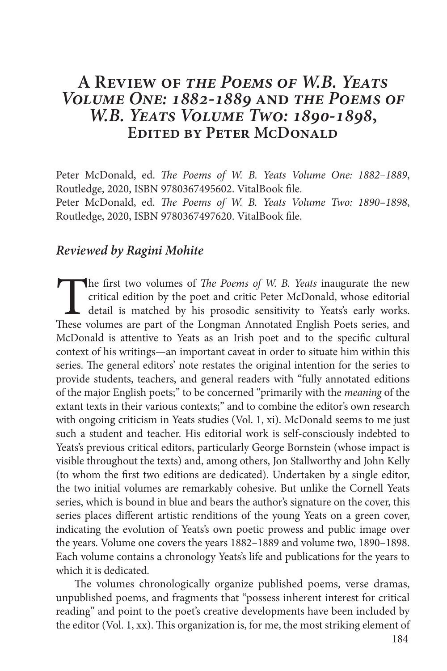### **A Review of** *the Poems of W.B. Yeats Volume One: 1882-1889* **and** *the Poems of W.B. Yeats Volume Two: 1890-1898***, Edited by Peter McDonald**

Peter McDonald, ed. *The Poems of W. B. Yeats Volume One: 1882–1889*, Routledge, 2020, ISBN 9780367495602. VitalBook file. Peter McDonald, ed. *The Poems of W. B. Yeats Volume Two: 1890–1898*, Routledge, 2020, ISBN 9780367497620. VitalBook file.

### *Reviewed by Ragini Mohite*

The first two volumes of *The Poems of W. B. Yeats* inaugurate the new critical edition by the poet and critic Peter McDonald, whose editorial detail is matched by his prosodic sensitivity to Yeats's early works. These volumes are part of the Longman Annotated English Poets series, and McDonald is attentive to Yeats as an Irish poet and to the specific cultural context of his writings—an important caveat in order to situate him within this series. The general editors' note restates the original intention for the series to provide students, teachers, and general readers with "fully annotated editions of the major English poets;" to be concerned "primarily with the *meaning* of the extant texts in their various contexts;" and to combine the editor's own research with ongoing criticism in Yeats studies (Vol. 1, xi). McDonald seems to me just such a student and teacher. His editorial work is self-consciously indebted to Yeats's previous critical editors, particularly George Bornstein (whose impact is visible throughout the texts) and, among others, Jon Stallworthy and John Kelly (to whom the first two editions are dedicated). Undertaken by a single editor, the two initial volumes are remarkably cohesive. But unlike the Cornell Yeats series, which is bound in blue and bears the author's signature on the cover, this series places different artistic renditions of the young Yeats on a green cover, indicating the evolution of Yeats's own poetic prowess and public image over the years. Volume one covers the years 1882–1889 and volume two, 1890–1898. Each volume contains a chronology Yeats's life and publications for the years to which it is dedicated.

The volumes chronologically organize published poems, verse dramas, unpublished poems, and fragments that "possess inherent interest for critical reading" and point to the poet's creative developments have been included by the editor (Vol. 1, xx). This organization is, for me, the most striking element of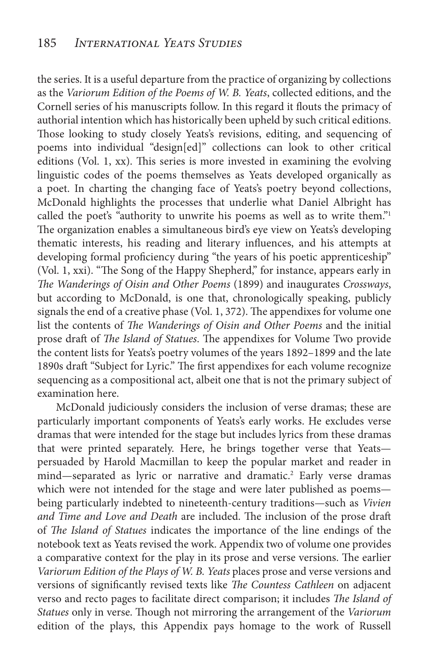the series. It is a useful departure from the practice of organizing by collections as the *Variorum Edition of the Poems of W. B. Yeats*, collected editions, and the Cornell series of his manuscripts follow. In this regard it flouts the primacy of authorial intention which has historically been upheld by such critical editions. Those looking to study closely Yeats's revisions, editing, and sequencing of poems into individual "design[ed]" collections can look to other critical editions (Vol. 1, xx). This series is more invested in examining the evolving linguistic codes of the poems themselves as Yeats developed organically as a poet. In charting the changing face of Yeats's poetry beyond collections, McDonald highlights the processes that underlie what Daniel Albright has called the poet's "authority to unwrite his poems as well as to write them."1 The organization enables a simultaneous bird's eye view on Yeats's developing thematic interests, his reading and literary influences, and his attempts at developing formal proficiency during "the years of his poetic apprenticeship" (Vol. 1, xxi). "The Song of the Happy Shepherd," for instance, appears early in *The Wanderings of Oisin and Other Poems* (1899) and inaugurates *Crossways*, but according to McDonald, is one that, chronologically speaking, publicly signals the end of a creative phase (Vol. 1, 372). The appendixes for volume one list the contents of *The Wanderings of Oisin and Other Poems* and the initial prose draft of *The Island of Statues*. The appendixes for Volume Two provide the content lists for Yeats's poetry volumes of the years 1892–1899 and the late 1890s draft "Subject for Lyric." The first appendixes for each volume recognize sequencing as a compositional act, albeit one that is not the primary subject of examination here.

McDonald judiciously considers the inclusion of verse dramas; these are particularly important components of Yeats's early works. He excludes verse dramas that were intended for the stage but includes lyrics from these dramas that were printed separately. Here, he brings together verse that Yeats persuaded by Harold Macmillan to keep the popular market and reader in mind—separated as lyric or narrative and dramatic.<sup>2</sup> Early verse dramas which were not intended for the stage and were later published as poems being particularly indebted to nineteenth-century traditions—such as *Vivien and Time and Love and Death* are included. The inclusion of the prose draft of *The Island of Statues* indicates the importance of the line endings of the notebook text as Yeats revised the work. Appendix two of volume one provides a comparative context for the play in its prose and verse versions. The earlier *Variorum Edition of the Plays of W. B. Yeats* places prose and verse versions and versions of significantly revised texts like *The Countess Cathleen* on adjacent verso and recto pages to facilitate direct comparison; it includes *The Island of Statues* only in verse. Though not mirroring the arrangement of the *Variorum*  edition of the plays, this Appendix pays homage to the work of Russell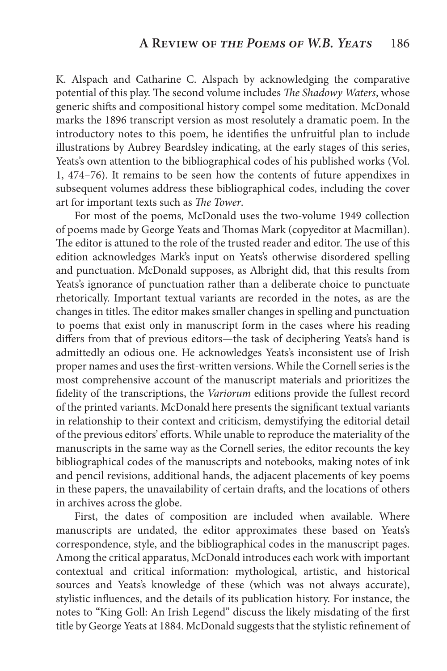K. Alspach and Catharine C. Alspach by acknowledging the comparative potential of this play. The second volume includes *The Shadowy Waters*, whose generic shifts and compositional history compel some meditation. McDonald marks the 1896 transcript version as most resolutely a dramatic poem. In the introductory notes to this poem, he identifies the unfruitful plan to include illustrations by Aubrey Beardsley indicating, at the early stages of this series, Yeats's own attention to the bibliographical codes of his published works (Vol. 1, 474–76). It remains to be seen how the contents of future appendixes in subsequent volumes address these bibliographical codes, including the cover art for important texts such as *The Tower*.

For most of the poems, McDonald uses the two-volume 1949 collection of poems made by George Yeats and Thomas Mark (copyeditor at Macmillan). The editor is attuned to the role of the trusted reader and editor. The use of this edition acknowledges Mark's input on Yeats's otherwise disordered spelling and punctuation. McDonald supposes, as Albright did, that this results from Yeats's ignorance of punctuation rather than a deliberate choice to punctuate rhetorically. Important textual variants are recorded in the notes, as are the changes in titles. The editor makes smaller changes in spelling and punctuation to poems that exist only in manuscript form in the cases where his reading differs from that of previous editors—the task of deciphering Yeats's hand is admittedly an odious one. He acknowledges Yeats's inconsistent use of Irish proper names and uses the first-written versions. While the Cornell series is the most comprehensive account of the manuscript materials and prioritizes the fidelity of the transcriptions, the *Variorum* editions provide the fullest record of the printed variants. McDonald here presents the significant textual variants in relationship to their context and criticism, demystifying the editorial detail of the previous editors' efforts. While unable to reproduce the materiality of the manuscripts in the same way as the Cornell series, the editor recounts the key bibliographical codes of the manuscripts and notebooks, making notes of ink and pencil revisions, additional hands, the adjacent placements of key poems in these papers, the unavailability of certain drafts, and the locations of others in archives across the globe.

First, the dates of composition are included when available. Where manuscripts are undated, the editor approximates these based on Yeats's correspondence, style, and the bibliographical codes in the manuscript pages. Among the critical apparatus, McDonald introduces each work with important contextual and critical information: mythological, artistic, and historical sources and Yeats's knowledge of these (which was not always accurate), stylistic influences, and the details of its publication history. For instance, the notes to "King Goll: An Irish Legend" discuss the likely misdating of the first title by George Yeats at 1884. McDonald suggests that the stylistic refinement of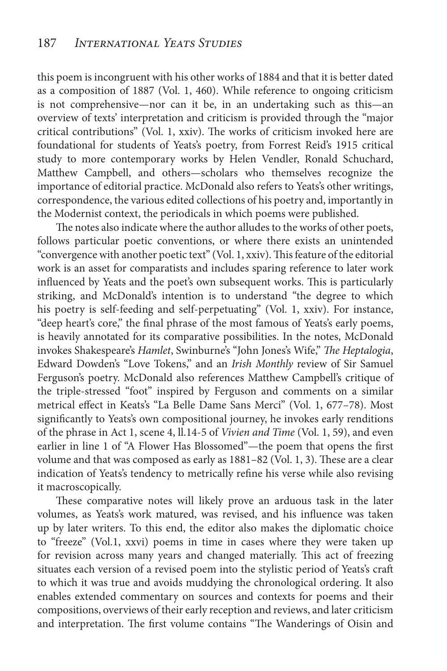this poem is incongruent with his other works of 1884 and that it is better dated as a composition of 1887 (Vol. 1, 460). While reference to ongoing criticism is not comprehensive—nor can it be, in an undertaking such as this—an overview of texts' interpretation and criticism is provided through the "major critical contributions" (Vol. 1, xxiv). The works of criticism invoked here are foundational for students of Yeats's poetry, from Forrest Reid's 1915 critical study to more contemporary works by Helen Vendler, Ronald Schuchard, Matthew Campbell, and others—scholars who themselves recognize the importance of editorial practice. McDonald also refers to Yeats's other writings, correspondence, the various edited collections of his poetry and, importantly in the Modernist context, the periodicals in which poems were published.

The notes also indicate where the author alludes to the works of other poets, follows particular poetic conventions, or where there exists an unintended "convergence with another poetic text" (Vol. 1, xxiv). This feature of the editorial work is an asset for comparatists and includes sparing reference to later work influenced by Yeats and the poet's own subsequent works. This is particularly striking, and McDonald's intention is to understand "the degree to which his poetry is self-feeding and self-perpetuating" (Vol. 1, xxiv). For instance, "deep heart's core," the final phrase of the most famous of Yeats's early poems, is heavily annotated for its comparative possibilities. In the notes, McDonald invokes Shakespeare's *Hamlet*, Swinburne's "John Jones's Wife," *The Heptalogia*, Edward Dowden's "Love Tokens," and an *Irish Monthly* review of Sir Samuel Ferguson's poetry. McDonald also references Matthew Campbell's critique of the triple-stressed "foot" inspired by Ferguson and comments on a similar metrical effect in Keats's "La Belle Dame Sans Merci" (Vol. 1, 677–78). Most significantly to Yeats's own compositional journey, he invokes early renditions of the phrase in Act 1, scene 4, ll.14-5 of *Vivien and Time* (Vol. 1, 59), and even earlier in line 1 of "A Flower Has Blossomed"—the poem that opens the first volume and that was composed as early as 1881–82 (Vol. 1, 3). These are a clear indication of Yeats's tendency to metrically refine his verse while also revising it macroscopically.

These comparative notes will likely prove an arduous task in the later volumes, as Yeats's work matured, was revised, and his influence was taken up by later writers. To this end, the editor also makes the diplomatic choice to "freeze" (Vol.1, xxvi) poems in time in cases where they were taken up for revision across many years and changed materially. This act of freezing situates each version of a revised poem into the stylistic period of Yeats's craft to which it was true and avoids muddying the chronological ordering. It also enables extended commentary on sources and contexts for poems and their compositions, overviews of their early reception and reviews, and later criticism and interpretation. The first volume contains "The Wanderings of Oisin and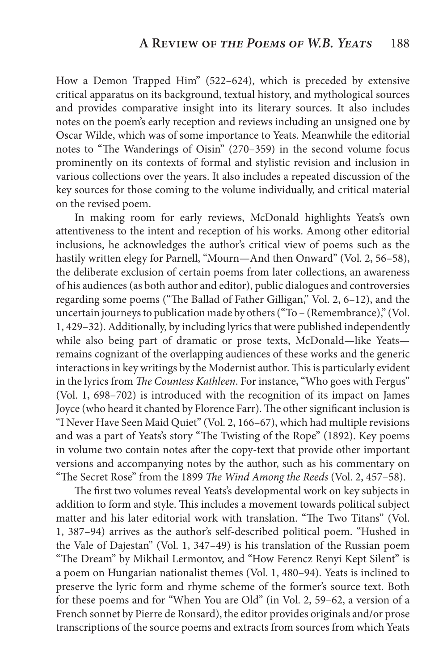How a Demon Trapped Him" (522–624), which is preceded by extensive critical apparatus on its background, textual history, and mythological sources and provides comparative insight into its literary sources. It also includes notes on the poem's early reception and reviews including an unsigned one by Oscar Wilde, which was of some importance to Yeats. Meanwhile the editorial notes to "The Wanderings of Oisin" (270–359) in the second volume focus prominently on its contexts of formal and stylistic revision and inclusion in various collections over the years. It also includes a repeated discussion of the key sources for those coming to the volume individually, and critical material on the revised poem.

In making room for early reviews, McDonald highlights Yeats's own attentiveness to the intent and reception of his works. Among other editorial inclusions, he acknowledges the author's critical view of poems such as the hastily written elegy for Parnell, "Mourn—And then Onward" (Vol. 2, 56–58), the deliberate exclusion of certain poems from later collections, an awareness of his audiences (as both author and editor), public dialogues and controversies regarding some poems ("The Ballad of Father Gilligan," Vol. 2, 6–12), and the uncertain journeys to publication made by others ("To – (Remembrance)," (Vol. 1, 429–32). Additionally, by including lyrics that were published independently while also being part of dramatic or prose texts, McDonald—like Yeats remains cognizant of the overlapping audiences of these works and the generic interactions in key writings by the Modernist author. This is particularly evident in the lyrics from *The Countess Kathleen*. For instance, "Who goes with Fergus" (Vol. 1, 698–702) is introduced with the recognition of its impact on James Joyce (who heard it chanted by Florence Farr). The other significant inclusion is "I Never Have Seen Maid Quiet" (Vol. 2, 166–67), which had multiple revisions and was a part of Yeats's story "The Twisting of the Rope" (1892). Key poems in volume two contain notes after the copy-text that provide other important versions and accompanying notes by the author, such as his commentary on "The Secret Rose" from the 1899 *The Wind Among the Reeds* (Vol. 2, 457–58).

The first two volumes reveal Yeats's developmental work on key subjects in addition to form and style. This includes a movement towards political subject matter and his later editorial work with translation. "The Two Titans" (Vol. 1, 387–94) arrives as the author's self-described political poem. "Hushed in the Vale of Dajestan" (Vol. 1, 347–49) is his translation of the Russian poem "The Dream" by Mikhail Lermontov, and "How Ferencz Renyi Kept Silent" is a poem on Hungarian nationalist themes (Vol. 1, 480–94). Yeats is inclined to preserve the lyric form and rhyme scheme of the former's source text. Both for these poems and for "When You are Old" (in Vol. 2, 59–62, a version of a French sonnet by Pierre de Ronsard), the editor provides originals and/or prose transcriptions of the source poems and extracts from sources from which Yeats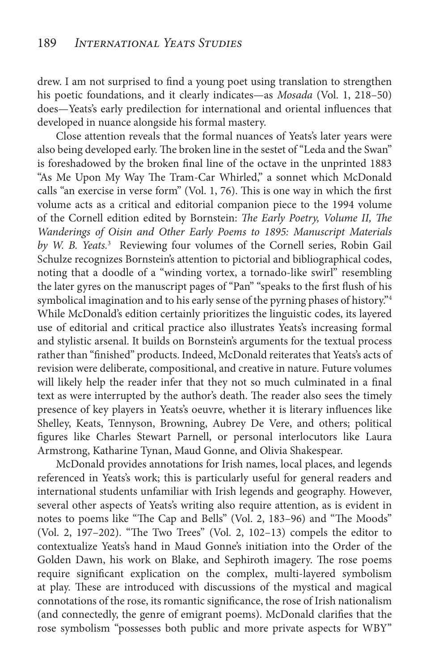drew. I am not surprised to find a young poet using translation to strengthen his poetic foundations, and it clearly indicates—as *Mosada* (Vol. 1, 218–50) does—Yeats's early predilection for international and oriental influences that developed in nuance alongside his formal mastery.

Close attention reveals that the formal nuances of Yeats's later years were also being developed early. The broken line in the sestet of "Leda and the Swan" is foreshadowed by the broken final line of the octave in the unprinted 1883 "As Me Upon My Way The Tram-Car Whirled," a sonnet which McDonald calls "an exercise in verse form" (Vol. 1, 76). This is one way in which the first volume acts as a critical and editorial companion piece to the 1994 volume of the Cornell edition edited by Bornstein: *The Early Poetry, Volume II, The Wanderings of Oisin and Other Early Poems to 1895: Manuscript Materials by W. B. Yeats.*<sup>3</sup> Reviewing four volumes of the Cornell series, Robin Gail Schulze recognizes Bornstein's attention to pictorial and bibliographical codes, noting that a doodle of a "winding vortex, a tornado-like swirl" resembling the later gyres on the manuscript pages of "Pan" "speaks to the first flush of his symbolical imagination and to his early sense of the pyrning phases of history."<sup>4</sup> While McDonald's edition certainly prioritizes the linguistic codes, its layered use of editorial and critical practice also illustrates Yeats's increasing formal and stylistic arsenal. It builds on Bornstein's arguments for the textual process rather than "finished" products. Indeed, McDonald reiterates that Yeats's acts of revision were deliberate, compositional, and creative in nature. Future volumes will likely help the reader infer that they not so much culminated in a final text as were interrupted by the author's death. The reader also sees the timely presence of key players in Yeats's oeuvre, whether it is literary influences like Shelley, Keats, Tennyson, Browning, Aubrey De Vere, and others; political figures like Charles Stewart Parnell, or personal interlocutors like Laura Armstrong, Katharine Tynan, Maud Gonne, and Olivia Shakespear.

McDonald provides annotations for Irish names, local places, and legends referenced in Yeats's work; this is particularly useful for general readers and international students unfamiliar with Irish legends and geography. However, several other aspects of Yeats's writing also require attention, as is evident in notes to poems like "The Cap and Bells" (Vol. 2, 183–96) and "The Moods" (Vol. 2, 197–202). "The Two Trees" (Vol. 2, 102–13) compels the editor to contextualize Yeats's hand in Maud Gonne's initiation into the Order of the Golden Dawn, his work on Blake, and Sephiroth imagery. The rose poems require significant explication on the complex, multi-layered symbolism at play. These are introduced with discussions of the mystical and magical connotations of the rose, its romantic significance, the rose of Irish nationalism (and connectedly, the genre of emigrant poems). McDonald clarifies that the rose symbolism "possesses both public and more private aspects for WBY"